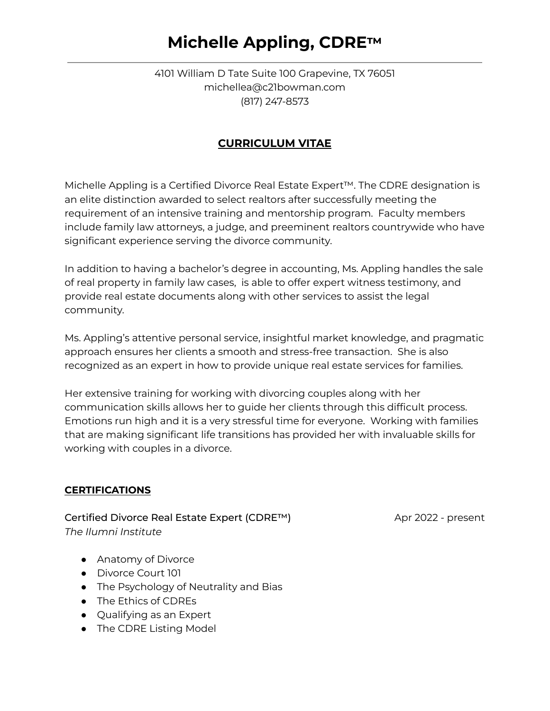## **Michelle Appling, CDRE™**

4101 William D Tate Suite 100 Grapevine, TX 76051 michellea@c21bowman.com (817) 247-8573

### **CURRICULUM VITAE**

Michelle Appling is a Certified Divorce Real Estate Expert™. The CDRE designation is an elite distinction awarded to select realtors after successfully meeting the requirement of an intensive training and mentorship program. Faculty members include family law attorneys, a judge, and preeminent realtors countrywide who have significant experience serving the divorce community.

In addition to having a bachelor's degree in accounting, Ms. Appling handles the sale of real property in family law cases, is able to offer expert witness testimony, and provide real estate documents along with other services to assist the legal community.

Ms. Appling's attentive personal service, insightful market knowledge, and pragmatic approach ensures her clients a smooth and stress-free transaction. She is also recognized as an expert in how to provide unique real estate services for families.

Her extensive training for working with divorcing couples along with her communication skills allows her to guide her clients through this difficult process. Emotions run high and it is a very stressful time for everyone. Working with families that are making significant life transitions has provided her with invaluable skills for working with couples in a divorce.

### **CERTIFICATIONS**

Certified Divorce Real Estate Expert (CDRE™) Apr 2022 - present *The Ilumni Institute*

- Anatomy of Divorce
- Divorce Court 101
- The Psychology of Neutrality and Bias
- The Ethics of CDREs
- Qualifying as an Expert
- The CDRE Listing Model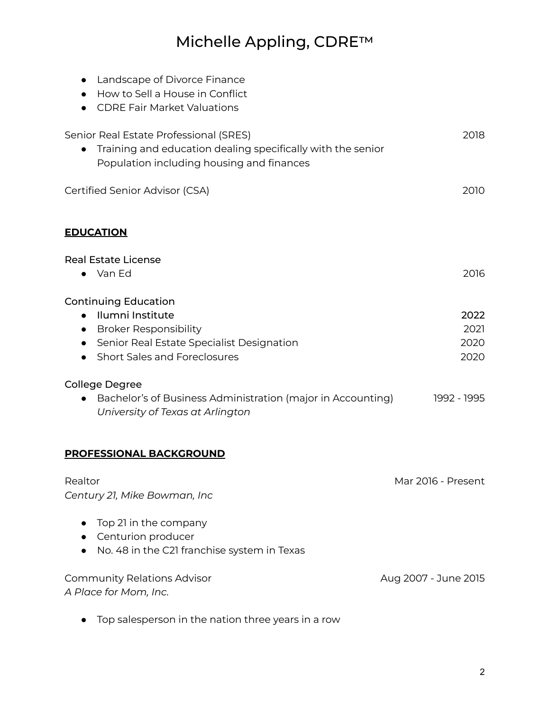# Michelle Appling, CDRE™

| Landscape of Divorce Finance<br>$\bullet$<br>How to Sell a House in Conflict                                                                                                                                                        |                              |
|-------------------------------------------------------------------------------------------------------------------------------------------------------------------------------------------------------------------------------------|------------------------------|
| <b>CDRE Fair Market Valuations</b>                                                                                                                                                                                                  |                              |
| Senior Real Estate Professional (SRES)<br>Training and education dealing specifically with the senior<br>Population including housing and finances                                                                                  | 2018                         |
| Certified Senior Advisor (CSA)                                                                                                                                                                                                      | 2010                         |
| <b>EDUCATION</b>                                                                                                                                                                                                                    |                              |
| <b>Real Estate License</b><br>• Van Ed                                                                                                                                                                                              | 2016                         |
| <b>Continuing Education</b><br>Ilumni Institute<br>$\bullet$<br><b>Broker Responsibility</b><br>$\bullet$<br>Senior Real Estate Specialist Designation<br>$\bullet$<br><b>Short Sales and Foreclosures</b><br><b>College Degree</b> | 2022<br>2021<br>2020<br>2020 |
| Bachelor's of Business Administration (major in Accounting)<br>$\bullet$<br>University of Texas at Arlington                                                                                                                        | 1992 - 1995                  |
| PROFESSIONAL BACKGROUND                                                                                                                                                                                                             |                              |
| Realtor<br>Century 21, Mike Bowman, Inc                                                                                                                                                                                             | Mar 2016 - Present           |
| Top 21 in the company<br>Centurion producer<br>No. 48 in the C21 franchise system in Texas                                                                                                                                          |                              |
| <b>Community Relations Advisor</b><br>A Place for Mom, Inc.                                                                                                                                                                         | Aug 2007 - June 2015         |

● Top salesperson in the nation three years in a row